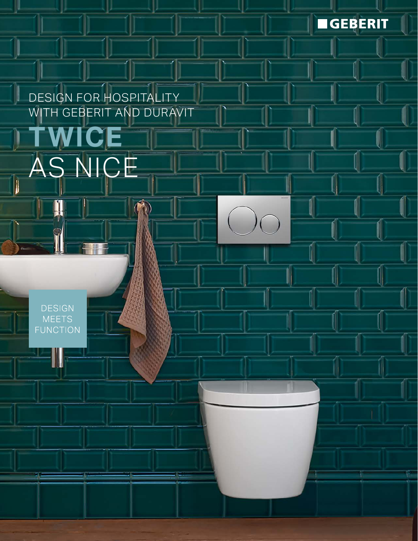**SEBERIT** 

l

U

U

I

l,

U

II

DESIGN FOR HOSPITALITY WITH GEBERIT AND DURAVIT

**TWICE** 

AS NICE

### **DESIGN** MEETS **FUNCTION**

W

 $\parallel$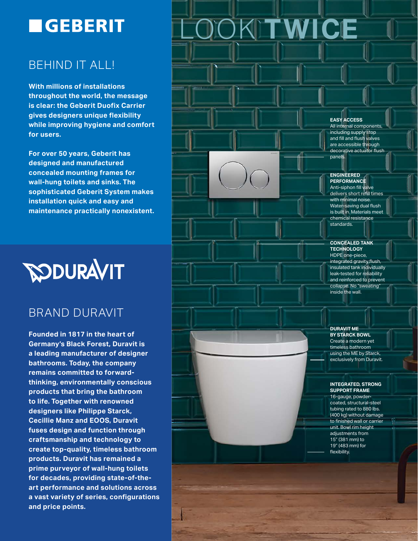## **EGEBERIT**

## BEHIND IT ALL!

**With millions of installations throughout the world, the message is clear: the Geberit Duofix Carrier gives designers unique flexibility while improving hygiene and comfort for users.** 

**For over 50 years, Geberit has designed and manufactured concealed mounting frames for wall-hung toilets and sinks. The sophisticated Geberit System makes installation quick and easy and maintenance practically nonexistent.**



### BRAND DURAVIT

**Founded in 1817 in the heart of Germany's Black Forest, Duravit is a leading manufacturer of designer bathrooms. Today, the company remains committed to forwardthinking, environmentally conscious products that bring the bathroom to life. Together with renowned designers like Philippe Starck, Cecillie Manz and EOOS, Duravit fuses design and function through craftsmanship and technology to create top-quality, timeless bathroom products. Duravit has remained a prime purveyor of wall-hung toilets for decades, providing state-of-theart performance and solutions across a vast variety of series, configurations and price points.**

# **KITWICE**

#### **EASY ACCESS**

All internal components, including supply stop and fill and flush valves are accessible through decorative actuator flush panels.

#### **ENGINEERED PERFORMANCE**

Anti-siphon fill valve delivers short refill times with minimal noise. Water-saving dual flush is built in. Materials meet chemical resistance standards.

#### **CONCEALED TANK TECHNOLOGY** HDPE one-piece,

integrated gravity flush, insulated tank individually leak-tested for reliability and reinforced to prevent collapse. No "sweating" inside the wall.

#### **DURAVIT ME BY STARCK BOWL** Create a modern yet timeless bathroom using the ME by Starck, exclusively from Duravit.

#### **INTEGRATED, STRONG SUPPORT FRAME**

16-gauge, powdercoated, structural-steel tubing rated to 880 lbs. (400 kg) without damage to finished wall or carrier unit. Bowl rim height adjustments from 15" (381 mm) to 19" (483 mm) for flexibility.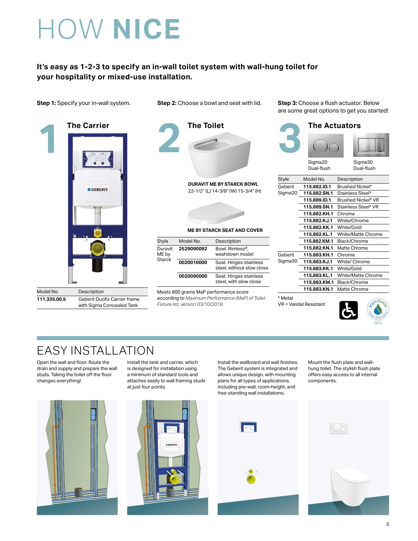## HOW **NICE**

#### **It's easy as 1-2-3 to specify an in-wall toilet system with wall-hung toilet for your hospitality or mixed-use installation.**



| Model No.    | Description                  |
|--------------|------------------------------|
| 111.335.00.5 | Geberit Duofix Carrier frame |
|              | with Sigma Concealed Tank    |



22-1/2" (L) 14-3/8" (W) 15-3/4" (H)

#### **ME BY STARCK SEAT AND COVER**

| Style                      | Model No.  | Description                                         |
|----------------------------|------------|-----------------------------------------------------|
| Duravit<br>ME by<br>Starck | 2529090092 | Bowl. Rimless®.<br>washdown model                   |
|                            | 0020010000 | Seat. Hinges stainless<br>steel, without slow close |
|                            | 0020090000 | Seat. Hinges stainless<br>steel, with slow close    |

Meets 800 grams MaP performance score according to *Maximum Performance (MaP) of Toilet Fixture list, version 03/10/2018.*

**Step 1:** Specify your in-wall system. **Step 2:** Choose a bowl and seat with lid. **Step 3:** Choose a flush actuator. Below are some great options to get you started!



\* Metal

VR = Vandal Resistant



## EASY INSTALLATION

Open the wall and floor. Route the drain and supply and prepare the wall studs. Taking the toilet off the floor changes everything!



Install the wallboard and wall finishes. The Geberit system is integrated and allows unique design, with mounting plans for all types of applications, including pre-wall, room-height, and free-standing wall installations.

Mount the flush plate and wallhung toilet. The stylish flush plate offers easy access to all internal components.